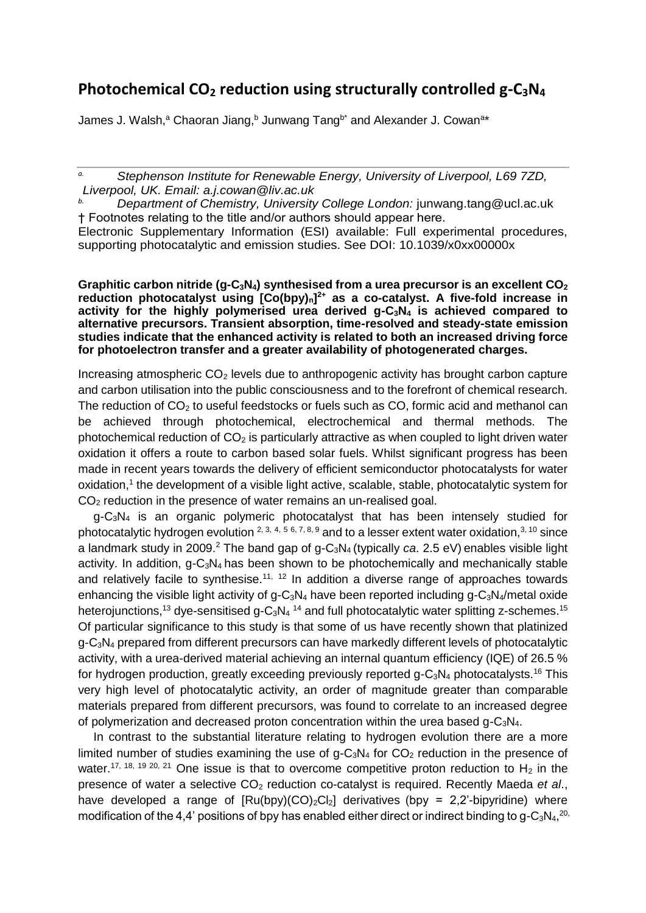## **Photochemical CO<sup>2</sup> reduction using structurally controlled g-C3N<sup>4</sup>**

James J. Walsh,<sup>a</sup> Chaoran Jiang,<sup>b</sup> Junwang Tang<sup>b\*</sup> and Alexander J. Cowan<sup>a\*</sup>

*a. Stephenson Institute for Renewable Energy, University of Liverpool, L69 7ZD, Liverpool, UK. Email: a.j.cowan@liv.ac.uk*

*b. Department of Chemistry, University College London:* junwang.tang@ucl.ac.uk † Footnotes relating to the title and/or authors should appear here.

Electronic Supplementary Information (ESI) available: Full experimental procedures, supporting photocatalytic and emission studies. See DOI: 10.1039/x0xx00000x

**Graphitic carbon nitride (g-C3N4) synthesised from a urea precursor is an excellent CO<sup>2</sup> reduction photocatalyst using [Co(bpy)n] 2+ as a co-catalyst. A five-fold increase in activity for the highly polymerised urea derived g-C3N<sup>4</sup> is achieved compared to alternative precursors. Transient absorption, time-resolved and steady-state emission studies indicate that the enhanced activity is related to both an increased driving force for photoelectron transfer and a greater availability of photogenerated charges.** 

Increasing atmospheric  $CO<sub>2</sub>$  levels due to anthropogenic activity has brought carbon capture and carbon utilisation into the public consciousness and to the forefront of chemical research. The reduction of  $CO<sub>2</sub>$  to useful feedstocks or fuels such as  $CO$ , formic acid and methanol can be achieved through photochemical, electrochemical and thermal methods. The photochemical reduction of  $CO<sub>2</sub>$  is particularly attractive as when coupled to light driven water oxidation it offers a route to carbon based solar fuels. Whilst significant progress has been made in recent years towards the delivery of efficient semiconductor photocatalysts for water oxidation,<sup>1</sup> the development of a visible light active, scalable, stable, photocatalytic system for CO<sup>2</sup> reduction in the presence of water remains an un-realised goal.

g-C<sub>3</sub>N<sub>4</sub> is an organic polymeric photocatalyst that has been intensely studied for photocatalytic hydrogen evolution  $2, 3, 4, 5, 6, 7, 8, 9$  and to a lesser extent water oxidation,  $3, 10$  since a landmark study in 2009.<sup>2</sup> The band gap of g-C<sub>3</sub>N<sub>4</sub> (typically *ca*. 2.5 eV) enables visible light activity. In addition,  $g - C_3N_4$  has been shown to be photochemically and mechanically stable and relatively facile to synthesise.<sup>11, 12</sup> In addition a diverse range of approaches towards enhancing the visible light activity of  $g-C_3N_4$  have been reported including  $g-C_3N_4/m$ etal oxide heterojunctions,<sup>13</sup> dye-sensitised g-C<sub>3</sub>N<sub>4</sub><sup>14</sup> and full photocatalytic water splitting z-schemes.<sup>15</sup> Of particular significance to this study is that some of us have recently shown that platinized g-C3N<sup>4</sup> prepared from different precursors can have markedly different levels of photocatalytic activity, with a urea-derived material achieving an internal quantum efficiency (IQE) of 26.5 % for hydrogen production, greatly exceeding previously reported  $q$ -C<sub>3</sub>N<sub>4</sub> photocatalysts.<sup>16</sup> This very high level of photocatalytic activity, an order of magnitude greater than comparable materials prepared from different precursors, was found to correlate to an increased degree of polymerization and decreased proton concentration within the urea based  $q$ -C<sub>3</sub>N<sub>4</sub>.

In contrast to the substantial literature relating to hydrogen evolution there are a more limited number of studies examining the use of  $q$ -C<sub>3</sub>N<sub>4</sub> for CO<sub>2</sub> reduction in the presence of water.<sup>17, 18, 19 20, 21</sup> One issue is that to overcome competitive proton reduction to  $H_2$  in the presence of water a selective CO<sub>2</sub> reduction co-catalyst is required. Recently Maeda *et al.*, have developed a range of  $[Ru(bpy)(CO)<sub>2</sub>Cl<sub>2</sub>]$  derivatives (bpy = 2,2'-bipyridine) where modification of the 4,4' positions of bpy has enabled either direct or indirect binding to g-C<sub>3</sub>N<sub>4</sub>,<sup>20,</sup>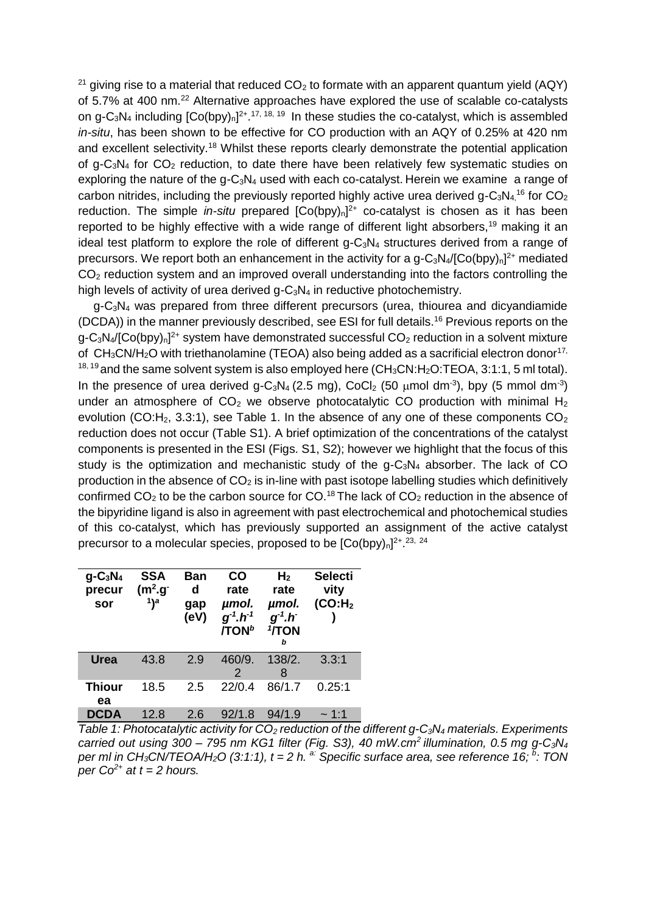<sup>21</sup> giving rise to a material that reduced  $CO<sub>2</sub>$  to formate with an apparent quantum yield (AQY) of 5.7% at 400 nm.<sup>22</sup> Alternative approaches have explored the use of scalable co-catalysts on g-C<sub>3</sub>N<sub>4</sub> including  $[Co(bpy)<sub>n</sub>]<sup>2+</sup>$ .<sup>17, 18, <sup>19</sup> In these studies the co-catalyst, which is assembled</sup> *in-situ*, has been shown to be effective for CO production with an AQY of 0.25% at 420 nm and excellent selectivity.<sup>18</sup> Whilst these reports clearly demonstrate the potential application of g-C<sub>3</sub>N<sub>4</sub> for  $CO_2$  reduction, to date there have been relatively few systematic studies on exploring the nature of the  $q$ -C<sub>3</sub>N<sub>4</sub> used with each co-catalyst. Herein we examine a range of carbon nitrides, including the previously reported highly active urea derived g-C<sub>3</sub>N<sub>4,</sub><sup>16</sup> for CO<sub>2</sub> reduction. The simple *in-situ* prepared  $[Co(bpy)<sub>n</sub>]<sup>2+</sup>$  co-catalyst is chosen as it has been reported to be highly effective with a wide range of different light absorbers,<sup>19</sup> making it an ideal test platform to explore the role of different  $g-C_3N_4$  structures derived from a range of precursors. We report both an enhancement in the activity for a  $g - C_3 N_4 / [C_0 (bpy)_n]^{2+}$  mediated CO<sub>2</sub> reduction system and an improved overall understanding into the factors controlling the high levels of activity of urea derived  $g-C_3N_4$  in reductive photochemistry.

g-C3N<sup>4</sup> was prepared from three different precursors (urea, thiourea and dicyandiamide (DCDA)) in the manner previously described, see ESI for full details. <sup>16</sup> Previous reports on the g-C<sub>3</sub>N<sub>4</sub>/[Co(bpy)<sub>n</sub>]<sup>2+</sup> system have demonstrated successful CO<sub>2</sub> reduction in a solvent mixture of  $CH_3CN/H_2O$  with triethanolamine (TEOA) also being added as a sacrificial electron donor<sup>17,</sup>  $18, 19$  and the same solvent system is also employed here (CH<sub>3</sub>CN:H<sub>2</sub>O:TEOA, 3:1:1, 5 ml total). In the presence of urea derived g-C<sub>3</sub>N<sub>4</sub> (2.5 mg), CoCl<sub>2</sub> (50  $\mu$ mol dm<sup>-3</sup>), bpy (5 mmol dm<sup>-3</sup>) under an atmosphere of  $CO<sub>2</sub>$  we observe photocatalytic CO production with minimal H<sub>2</sub> evolution (CO: $H_2$ , 3.3:1), see Table 1. In the absence of any one of these components  $CO_2$ reduction does not occur (Table S1). A brief optimization of the concentrations of the catalyst components is presented in the ESI (Figs. S1, S2); however we highlight that the focus of this study is the optimization and mechanistic study of the  $g-C_3N_4$  absorber. The lack of CO production in the absence of  $CO<sub>2</sub>$  is in-line with past isotope labelling studies which definitively confirmed  $CO<sub>2</sub>$  to be the carbon source for CO.<sup>18</sup> The lack of  $CO<sub>2</sub>$  reduction in the absence of the bipyridine ligand is also in agreement with past electrochemical and photochemical studies of this co-catalyst, which has previously supported an assignment of the active catalyst precursor to a molecular species, proposed to be  $[Co(bpy)<sub>n</sub>]^{2+}.23, 24$ 

| $g - C_3 N_4$<br>precur<br>sor | <b>SSA</b><br>$(m2.g-)$<br>$1$ <sup>a</sup> | Ban<br>d<br>gap<br>(eV) | CO<br>rate<br>µmol.<br>$g^1 \cdot h^{-1}$<br>$\overline{I}$ TON <sup>b</sup> | H <sub>2</sub><br>rate<br>µmol.<br>$g^1.h^-$<br><b>'/TON</b><br>h | <b>Selecti</b><br>vity<br>(CO:H <sub>2</sub> ) |
|--------------------------------|---------------------------------------------|-------------------------|------------------------------------------------------------------------------|-------------------------------------------------------------------|------------------------------------------------|
| Urea                           | 43.8                                        | 2.9                     | 460/9.<br>2                                                                  | 138/2.<br>8                                                       | 3.3:1                                          |
| <b>Thiour</b><br>ea            | 18.5                                        | 2.5                     | 22/0.4                                                                       | 86/1.7                                                            | 0.25:1                                         |
| <b>DCDA</b>                    | 12.8                                        | 2.6                     | 92/1.8                                                                       | 94/1.9                                                            | $\sim$ 1:1                                     |

*Table 1: Photocatalytic activity for CO<sup>2</sup> reduction of the different g-C3N<sup>4</sup> materials. Experiments carried out using 300 – 795 nm KG1 filter (Fig. S3), 40 mW.cm<sup>2</sup>illumination, 0.5 mg g-C3N<sup>4</sup> per ml in CH3CN/TEOA/H2O (3:1:1), t = 2 h. a: Specific surface area, see reference 16; <sup>b</sup> : TON per*  $Co^{2+}$  *at t = 2 hours.*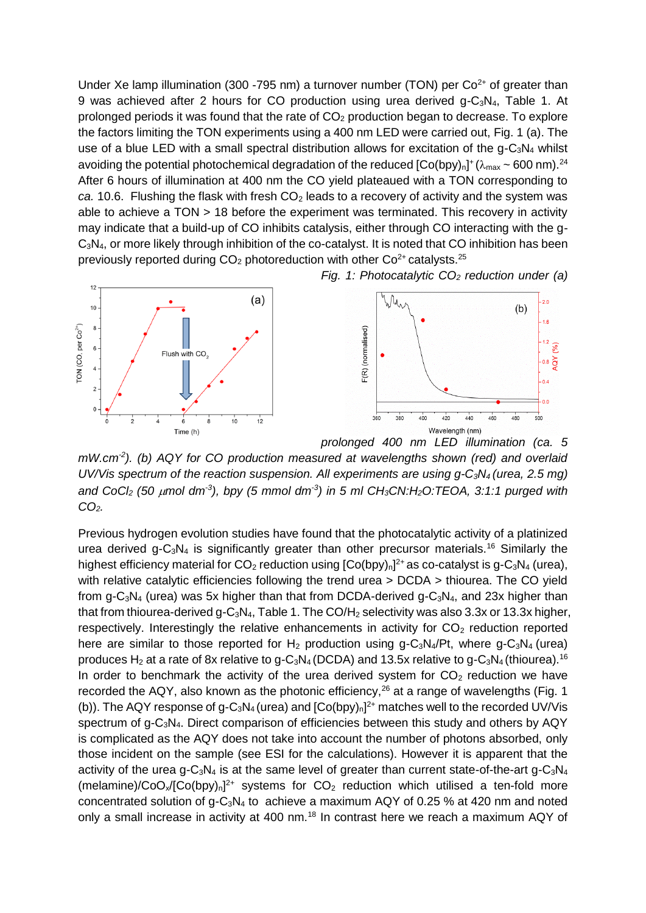Under Xe lamp illumination (300 -795 nm) a turnover number (TON) per  $Co<sup>2+</sup>$  of greater than 9 was achieved after 2 hours for CO production using urea derived g-C<sub>3</sub>N<sub>4</sub>, Table 1. At prolonged periods it was found that the rate of  $CO<sub>2</sub>$  production began to decrease. To explore the factors limiting the TON experiments using a 400 nm LED were carried out, Fig. 1 (a). The use of a blue LED with a small spectral distribution allows for excitation of the  $q$ -C<sub>3</sub>N<sub>4</sub> whilst avoiding the potential photochemical degradation of the reduced  $[Co(bpy)<sub>n</sub>]$ <sup>+</sup> ( $\lambda_{max}$  ~ 600 nm).<sup>24</sup> After 6 hours of illumination at 400 nm the CO yield plateaued with a TON corresponding to *ca.* 10.6. Flushing the flask with fresh  $CO<sub>2</sub>$  leads to a recovery of activity and the system was able to achieve a TON > 18 before the experiment was terminated. This recovery in activity may indicate that a build-up of CO inhibits catalysis, either through CO interacting with the g-C3N4, or more likely through inhibition of the co-catalyst. It is noted that CO inhibition has been previously reported during  $CO<sub>2</sub>$  photoreduction with other  $Co<sup>2+</sup>$  catalysts.<sup>25</sup>

*Fig. 1: Photocatalytic CO<sup>2</sup> reduction under (a)* 



mW.cm<sup>2</sup>). (b) AQY for CO production measured at wavelengths shown (red) and overlaid *UV/Vis spectrum of the reaction suspension. All experiments are using g-C3N4 (urea, 2.5 mg) and CoCl<sup>2</sup> (50 mol dm-3 ), bpy (5 mmol dm-3 ) in 5 ml CH3CN:H2O:TEOA, 3:1:1 purged with CO2.*

Previous hydrogen evolution studies have found that the photocatalytic activity of a platinized urea derived  $g - C_3N_4$  is significantly greater than other precursor materials.<sup>16</sup> Similarly the highest efficiency material for  $CO_2$  reduction using  $[Co(bpy)_n]^2$ <sup>+</sup> as co-catalyst is g-C<sub>3</sub>N<sub>4</sub> (urea), with relative catalytic efficiencies following the trend urea > DCDA > thiourea. The CO yield from g-C<sub>3</sub>N<sub>4</sub> (urea) was 5x higher than that from DCDA-derived g-C<sub>3</sub>N<sub>4</sub>, and 23x higher than that from thiourea-derived g-C<sub>3</sub>N<sub>4</sub>, Table 1. The CO/H<sub>2</sub> selectivity was also 3.3x or 13.3x higher, respectively. Interestingly the relative enhancements in activity for  $CO<sub>2</sub>$  reduction reported here are similar to those reported for  $H_2$  production using g-C<sub>3</sub>N<sub>4</sub>/Pt, where g-C<sub>3</sub>N<sub>4</sub> (urea) produces H<sub>2</sub> at a rate of 8x relative to g-C<sub>3</sub>N<sub>4</sub> (DCDA) and 13.5x relative to g-C<sub>3</sub>N<sub>4</sub> (thiourea).<sup>16</sup> In order to benchmark the activity of the urea derived system for  $CO<sub>2</sub>$  reduction we have recorded the AQY, also known as the photonic efficiency,  $26$  at a range of wavelengths (Fig. 1 (b)). The AQY response of g-C<sub>3</sub>N<sub>4</sub> (urea) and  $[Co(bpy)<sub>n</sub>]<sup>2+</sup>$  matches well to the recorded UV/Vis spectrum of g-C<sub>3</sub>N<sub>4</sub>. Direct comparison of efficiencies between this study and others by AQY is complicated as the AQY does not take into account the number of photons absorbed, only those incident on the sample (see ESI for the calculations). However it is apparent that the activity of the urea g-C<sub>3</sub>N<sub>4</sub> is at the same level of greater than current state-of-the-art g-C<sub>3</sub>N<sub>4</sub>  $(melamine)/CoO_x/[Co(bpy)<sub>n</sub>]<sup>2+</sup>$  systems for  $CO<sub>2</sub>$  reduction which utilised a ten-fold more concentrated solution of  $q - C_3N_4$  to achieve a maximum AQY of 0.25 % at 420 nm and noted only a small increase in activity at 400 nm.<sup>18</sup> In contrast here we reach a maximum AQY of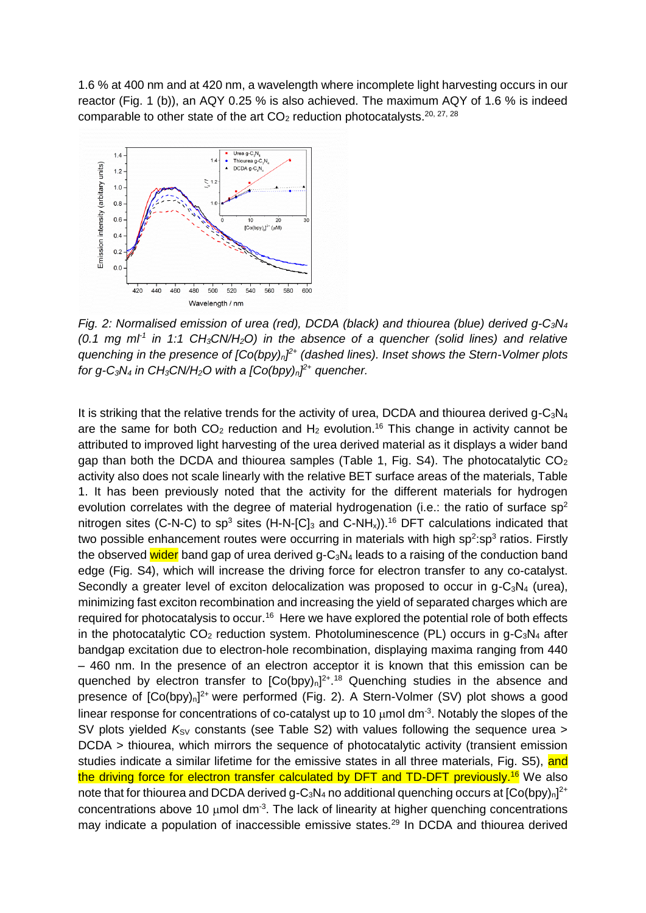1.6 % at 400 nm and at 420 nm, a wavelength where incomplete light harvesting occurs in our reactor (Fig. 1 (b)), an AQY 0.25 % is also achieved. The maximum AQY of 1.6 % is indeed comparable to other state of the art  $CO<sub>2</sub>$  reduction photocatalysts.<sup>20, 27, 28</sup>



*Fig. 2: Normalised emission of urea (red), DCDA (black) and thiourea (blue) derived g-C3N<sup>4</sup> (0.1 mg ml-1 in 1:1 CH3CN/H2O) in the absence of a quencher (solid lines) and relative quenching in the presence of [Co(bpy)n] 2+ (dashed lines). Inset shows the Stern-Volmer plots for g-C3N<sup>4</sup> in CH3CN/H2O with a [Co(bpy)n] 2+ quencher.*

It is striking that the relative trends for the activity of urea, DCDA and thiourea derived  $q$ -C<sub>3</sub>N<sub>4</sub> are the same for both  $CO<sub>2</sub>$  reduction and  $H<sub>2</sub>$  evolution.<sup>16</sup> This change in activity cannot be attributed to improved light harvesting of the urea derived material as it displays a wider band gap than both the DCDA and thiourea samples (Table 1, Fig. S4). The photocatalytic  $CO<sub>2</sub>$ activity also does not scale linearly with the relative BET surface areas of the materials, Table 1. It has been previously noted that the activity for the different materials for hydrogen evolution correlates with the degree of material hydrogenation (i.e.: the ratio of surface  $sp^2$ nitrogen sites (C-N-C) to  $sp^3$  sites (H-N-[C]<sub>3</sub> and C-NH<sub>x</sub>)).<sup>16</sup> DFT calculations indicated that two possible enhancement routes were occurring in materials with high sp<sup>2</sup>:sp<sup>3</sup> ratios. Firstly the observed wider band gap of urea derived  $q$ -C<sub>3</sub>N<sub>4</sub> leads to a raising of the conduction band edge (Fig. S4), which will increase the driving force for electron transfer to any co-catalyst. Secondly a greater level of exciton delocalization was proposed to occur in  $q-C_3N_4$  (urea), minimizing fast exciton recombination and increasing the yield of separated charges which are required for photocatalysis to occur.<sup>16</sup> Here we have explored the potential role of both effects in the photocatalytic  $CO_2$  reduction system. Photoluminescence (PL) occurs in g- $C_3N_4$  after bandgap excitation due to electron-hole recombination, displaying maxima ranging from 440 – 460 nm. In the presence of an electron acceptor it is known that this emission can be quenched by electron transfer to  $[Co(bpy)<sub>n</sub>]<sup>2+</sup>$ .<sup>18</sup> Quenching studies in the absence and presence of [Co(bpy)<sub>n</sub>]<sup>2+</sup> were performed (Fig. 2). A Stern-Volmer (SV) plot shows a good linear response for concentrations of co-catalyst up to 10  $\mu$ mol dm<sup>-3</sup>. Notably the slopes of the SV plots yielded K<sub>SV</sub> constants (see Table S2) with values following the sequence urea > DCDA > thiourea, which mirrors the sequence of photocatalytic activity (transient emission studies indicate a similar lifetime for the emissive states in all three materials, Fig. S5), and the driving force for electron transfer calculated by DFT and TD-DFT previously.<sup>16</sup> We also note that for thiourea and DCDA derived g-C<sub>3</sub>N<sub>4</sub> no additional quenching occurs at  $[Co(bpy)<sub>n</sub>]<sup>2+</sup>$ concentrations above 10  $\mu$ mol dm<sup>-3</sup>. The lack of linearity at higher quenching concentrations may indicate a population of inaccessible emissive states.<sup>29</sup> In DCDA and thiourea derived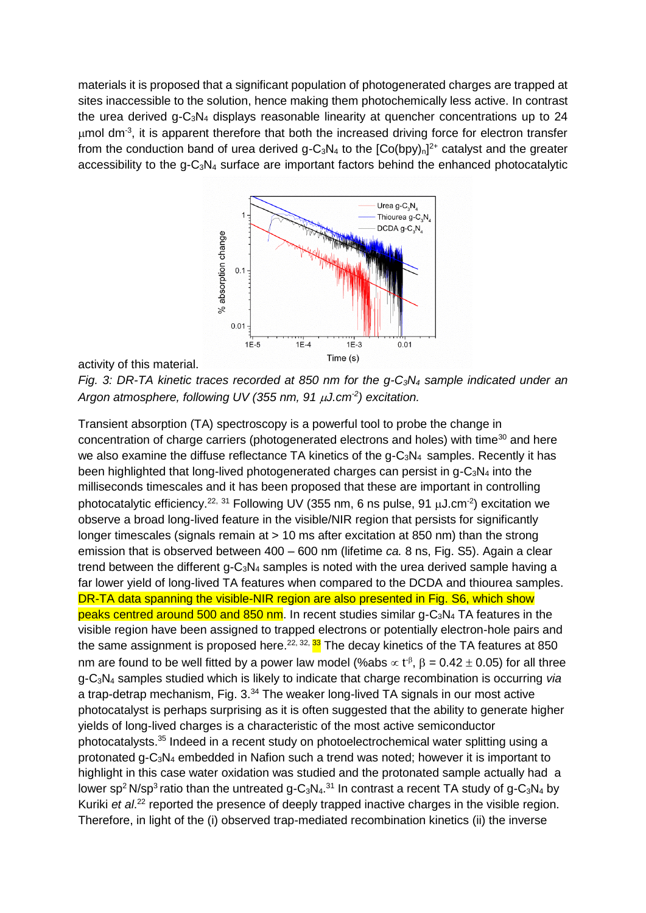materials it is proposed that a significant population of photogenerated charges are trapped at sites inaccessible to the solution, hence making them photochemically less active. In contrast the urea derived g-C3N<sup>4</sup> displays reasonable linearity at quencher concentrations up to 24  $\mu$ mol dm<sup>-3</sup>, it is apparent therefore that both the increased driving force for electron transfer from the conduction band of urea derived g-C<sub>3</sub>N<sub>4</sub> to the  $[Co(bpy)<sub>n</sub>]<sup>2+</sup>$  catalyst and the greater accessibility to the  $q$ -C<sub>3</sub>N<sub>4</sub> surface are important factors behind the enhanced photocatalytic



activity of this material.

*Fig. 3: DR-TA kinetic traces recorded at 850 nm for the g-C3N<sup>4</sup> sample indicated under an*  Argon atmosphere, following UV (355 nm, 91  $\mu$ J.cm<sup>-2</sup>) excitation.

Transient absorption (TA) spectroscopy is a powerful tool to probe the change in concentration of charge carriers (photogenerated electrons and holes) with time<sup>30</sup> and here we also examine the diffuse reflectance TA kinetics of the  $q$ -C<sub>3</sub>N<sub>4</sub> samples. Recently it has been highlighted that long-lived photogenerated charges can persist in  $q$ -C<sub>3</sub>N<sub>4</sub> into the milliseconds timescales and it has been proposed that these are important in controlling photocatalytic efficiency.<sup>22, 31</sup> Following UV (355 nm, 6 ns pulse, 91  $\mu$ J.cm<sup>-2</sup>) excitation we observe a broad long-lived feature in the visible/NIR region that persists for significantly longer timescales (signals remain at > 10 ms after excitation at 850 nm) than the strong emission that is observed between 400 – 600 nm (lifetime *ca.* 8 ns, Fig. S5). Again a clear trend between the different  $q-C_3N_4$  samples is noted with the urea derived sample having a far lower yield of long-lived TA features when compared to the DCDA and thiourea samples. DR-TA data spanning the visible-NIR region are also presented in Fig. S6, which show peaks centred around 500 and 850 nm. In recent studies similar  $g - C_3N_4$  TA features in the visible region have been assigned to trapped electrons or potentially electron-hole pairs and the same assignment is proposed here.<sup>22, 32, 33</sup> The decay kinetics of the TA features at 850 nm are found to be well fitted by a power law model (%abs  $\propto t^{-\beta}$ ,  $\beta = 0.42 \pm 0.05$ ) for all three g-C3N<sup>4</sup> samples studied which is likely to indicate that charge recombination is occurring *via* a trap-detrap mechanism, Fig. 3.<sup>34</sup> The weaker long-lived TA signals in our most active photocatalyst is perhaps surprising as it is often suggested that the ability to generate higher yields of long-lived charges is a characteristic of the most active semiconductor photocatalysts.<sup>35</sup> Indeed in a recent study on photoelectrochemical water splitting using a protonated g- $C_3N_4$  embedded in Nafion such a trend was noted; however it is important to highlight in this case water oxidation was studied and the protonated sample actually had a lower sp<sup>2</sup> N/sp<sup>3</sup> ratio than the untreated g-C<sub>3</sub>N<sub>4</sub>.<sup>31</sup> In contrast a recent TA study of g-C<sub>3</sub>N<sub>4</sub> by Kuriki et al.<sup>22</sup> reported the presence of deeply trapped inactive charges in the visible region. Therefore, in light of the (i) observed trap-mediated recombination kinetics (ii) the inverse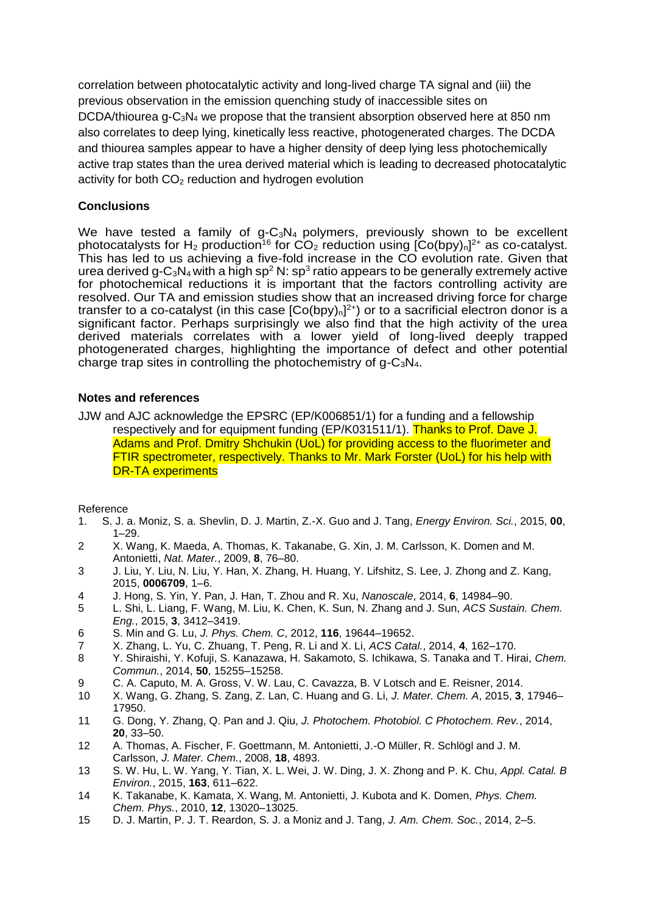correlation between photocatalytic activity and long-lived charge TA signal and (iii) the previous observation in the emission quenching study of inaccessible sites on DCDA/thiourea  $q$ -C<sub>3</sub>N<sub>4</sub> we propose that the transient absorption observed here at 850 nm also correlates to deep lying, kinetically less reactive, photogenerated charges. The DCDA and thiourea samples appear to have a higher density of deep lying less photochemically active trap states than the urea derived material which is leading to decreased photocatalytic activity for both  $CO<sub>2</sub>$  reduction and hydrogen evolution

## **Conclusions**

We have tested a family of  $g-C_3N_4$  polymers, previously shown to be excellent photocatalysts for H<sub>2</sub> production<sup>16</sup> for CO<sub>2</sub> reduction using  $[Co(bpy)<sub>n</sub>]^{2+}$  as co-catalyst. This has led to us achieving a five-fold increase in the CO evolution rate. Given that urea derived g-C<sub>3</sub>N<sub>4</sub> with a high sp<sup>2</sup> N: sp<sup>3</sup> ratio appears to be generally extremely active for photochemical reductions it is important that the factors controlling activity are resolved. Our TA and emission studies show that an increased driving force for charge transfer to a co-catalyst (in this case  $[Co(bpy)<sub>n</sub>]<sup>2+</sup>$ ) or to a sacrificial electron donor is a significant factor. Perhaps surprisingly we also find that the high activity of the urea derived materials correlates with a lower yield of long-lived deeply trapped photogenerated charges, highlighting the importance of defect and other potential charge trap sites in controlling the photochemistry of  $q$ -C<sub>3</sub>N<sub>4</sub>.

## **Notes and references**

JJW and AJC acknowledge the EPSRC (EP/K006851/1) for a funding and a fellowship respectively and for equipment funding (EP/K031511/1). Thanks to Prof. Dave J. Adams and Prof. Dmitry Shchukin (UoL) for providing access to the fluorimeter and FTIR spectrometer, respectively. Thanks to Mr. Mark Forster (UoL) for his help with DR-TA experiments

Reference

- 1. S. J. a. Moniz, S. a. Shevlin, D. J. Martin, Z.-X. Guo and J. Tang, *Energy Environ. Sci.*, 2015, **00**, 1–29.
- 2 X. Wang, K. Maeda, A. Thomas, K. Takanabe, G. Xin, J. M. Carlsson, K. Domen and M. Antonietti, *Nat. Mater.*, 2009, **8**, 76–80.
- 3 J. Liu, Y. Liu, N. Liu, Y. Han, X. Zhang, H. Huang, Y. Lifshitz, S. Lee, J. Zhong and Z. Kang, 2015, **0006709**, 1–6.
- 4 J. Hong, S. Yin, Y. Pan, J. Han, T. Zhou and R. Xu, *Nanoscale*, 2014, **6**, 14984–90.
- 5 L. Shi, L. Liang, F. Wang, M. Liu, K. Chen, K. Sun, N. Zhang and J. Sun, *ACS Sustain. Chem. Eng.*, 2015, **3**, 3412–3419.
- 6 S. Min and G. Lu, *J. Phys. Chem. C*, 2012, **116**, 19644–19652.
- 7 X. Zhang, L. Yu, C. Zhuang, T. Peng, R. Li and X. Li, *ACS Catal.*, 2014, **4**, 162–170.
- 8 Y. Shiraishi, Y. Kofuji, S. Kanazawa, H. Sakamoto, S. Ichikawa, S. Tanaka and T. Hirai, *Chem. Commun.*, 2014, **50**, 15255–15258.
- 9 C. A. Caputo, M. A. Gross, V. W. Lau, C. Cavazza, B. V Lotsch and E. Reisner, 2014.
- 10 X. Wang, G. Zhang, S. Zang, Z. Lan, C. Huang and G. Li, *J. Mater. Chem. A*, 2015, **3**, 17946– 17950.
- 11 G. Dong, Y. Zhang, Q. Pan and J. Qiu, *J. Photochem. Photobiol. C Photochem. Rev.*, 2014, **20**, 33–50.
- 12 A. Thomas, A. Fischer, F. Goettmann, M. Antonietti, J.-O Müller, R. Schlögl and J. M. Carlsson, *J. Mater. Chem.*, 2008, **18**, 4893.
- 13 S. W. Hu, L. W. Yang, Y. Tian, X. L. Wei, J. W. Ding, J. X. Zhong and P. K. Chu, *Appl. Catal. B Environ.*, 2015, **163**, 611–622.
- 14 K. Takanabe, K. Kamata, X. Wang, M. Antonietti, J. Kubota and K. Domen, *Phys. Chem. Chem. Phys.*, 2010, **12**, 13020–13025.
- 15 D. J. Martin, P. J. T. Reardon, S. J. a Moniz and J. Tang, *J. Am. Chem. Soc.*, 2014, 2–5.